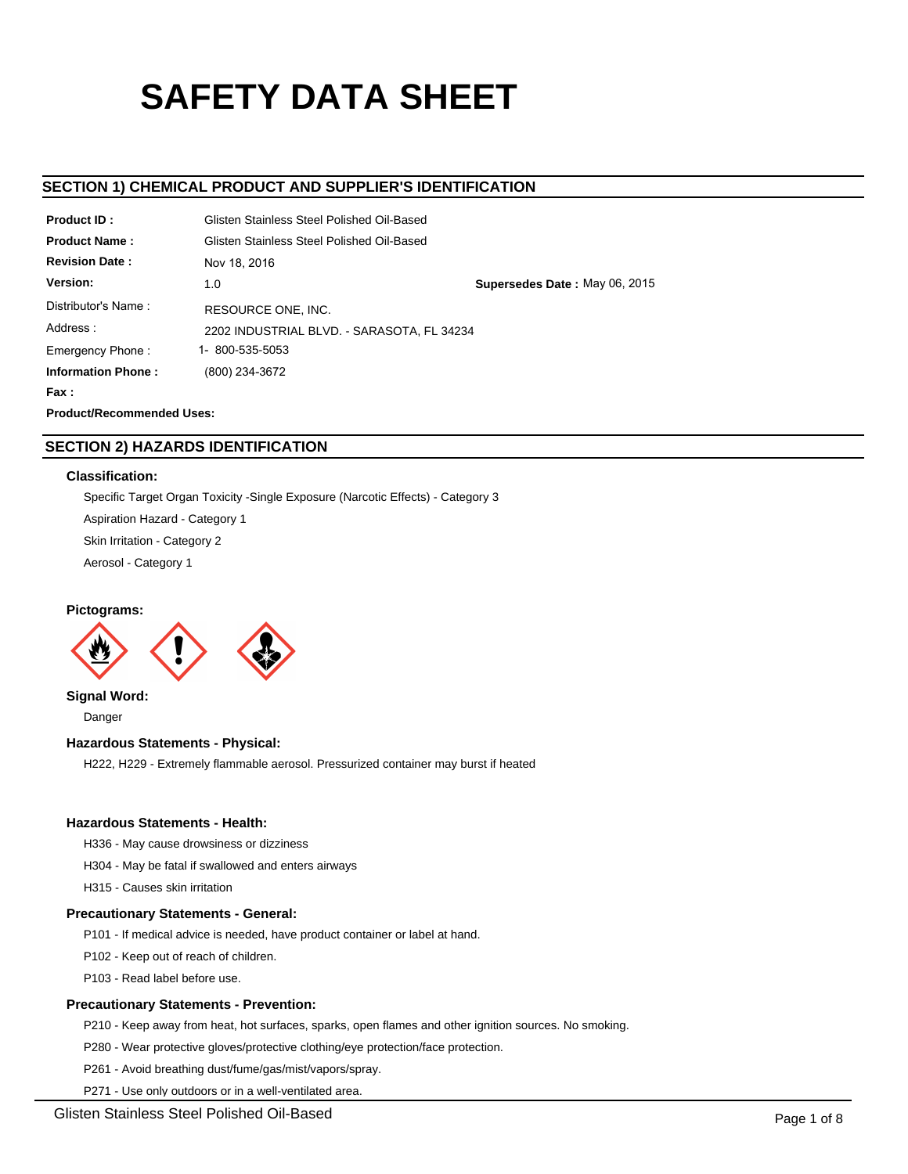# **SAFETY DATA SHEET**

# **SECTION 1) CHEMICAL PRODUCT AND SUPPLIER'S IDENTIFICATION**

| <b>Product ID:</b>               |                                            | Glisten Stainless Steel Polished Oil-Based |  |  |  |  |
|----------------------------------|--------------------------------------------|--------------------------------------------|--|--|--|--|
| <b>Product Name:</b>             | Glisten Stainless Steel Polished Oil-Based |                                            |  |  |  |  |
| <b>Revision Date:</b>            | Nov 18, 2016                               |                                            |  |  |  |  |
| Version:                         | 1.0                                        | Supersedes Date: May 06, 2015              |  |  |  |  |
| Distributor's Name:              | RESOURCE ONE, INC.                         |                                            |  |  |  |  |
| Address:                         | 2202 INDUSTRIAL BLVD. - SARASOTA, FL 34234 |                                            |  |  |  |  |
| Emergency Phone:                 | 1- 800-535-5053                            |                                            |  |  |  |  |
| <b>Information Phone:</b>        | (800) 234-3672                             |                                            |  |  |  |  |
| Fax :                            |                                            |                                            |  |  |  |  |
| <b>Product/Recommended Uses:</b> |                                            |                                            |  |  |  |  |

# **SECTION 2) HAZARDS IDENTIFICATION**

## **Classification:**

Specific Target Organ Toxicity -Single Exposure (Narcotic Effects) - Category 3 Aspiration Hazard - Category 1 Skin Irritation - Category 2 Aerosol - Category 1

# **Pictograms:**



**Signal Word:** Danger

# **Hazardous Statements - Physical:**

H222, H229 - Extremely flammable aerosol. Pressurized container may burst if heated

# **Hazardous Statements - Health:**

H336 - May cause drowsiness or dizziness

H304 - May be fatal if swallowed and enters airways

H315 - Causes skin irritation

# **Precautionary Statements - General:**

P101 - If medical advice is needed, have product container or label at hand.

P102 - Keep out of reach of children.

P103 - Read label before use.

# **Precautionary Statements - Prevention:**

P210 - Keep away from heat, hot surfaces, sparks, open flames and other ignition sources. No smoking.

P280 - Wear protective gloves/protective clothing/eye protection/face protection.

P261 - Avoid breathing dust/fume/gas/mist/vapors/spray.

P271 - Use only outdoors or in a well-ventilated area.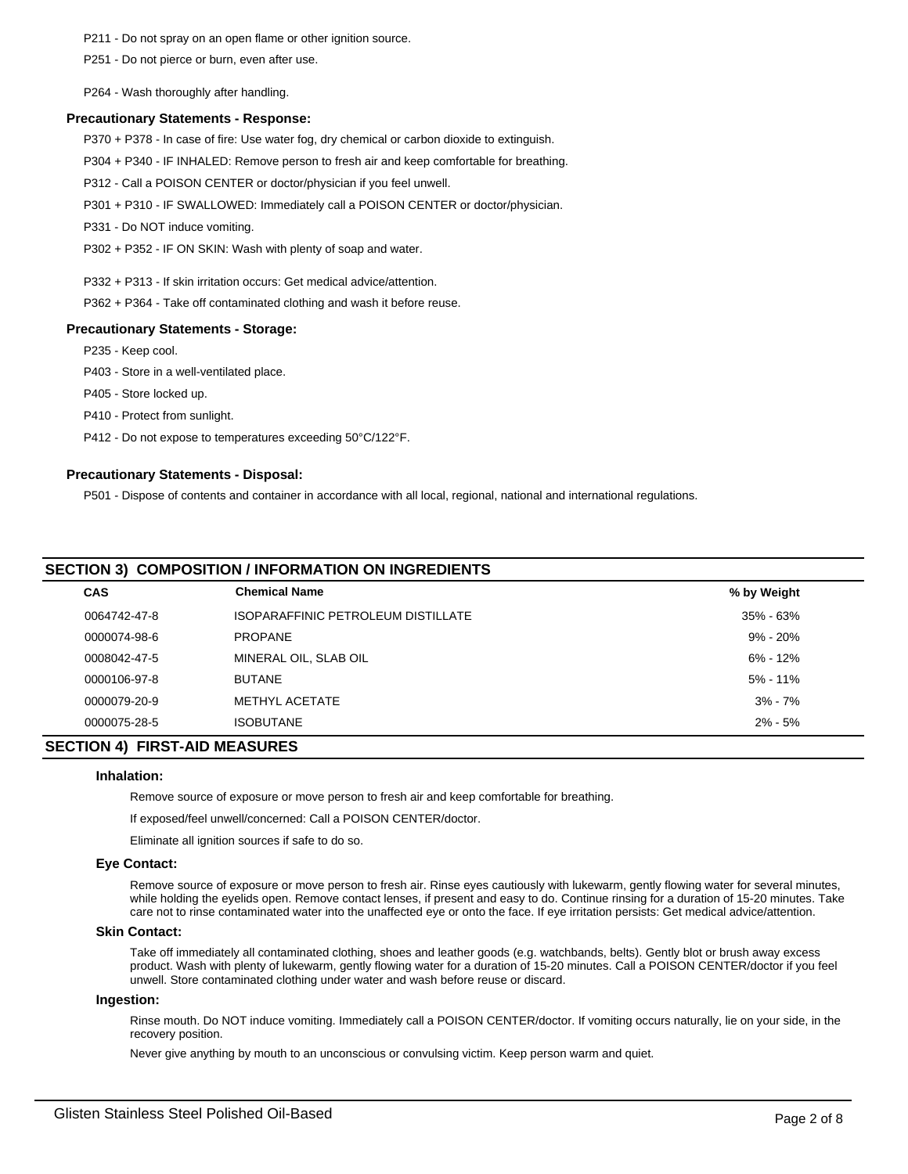P211 - Do not spray on an open flame or other ignition source.

P251 - Do not pierce or burn, even after use.

P264 - Wash thoroughly after handling.

# **Precautionary Statements - Response:**

P370 + P378 - In case of fire: Use water fog, dry chemical or carbon dioxide to extinguish.

P304 + P340 - IF INHALED: Remove person to fresh air and keep comfortable for breathing.

P312 - Call a POISON CENTER or doctor/physician if you feel unwell.

P301 + P310 - IF SWALLOWED: Immediately call a POISON CENTER or doctor/physician.

P331 - Do NOT induce vomiting.

P302 + P352 - IF ON SKIN: Wash with plenty of soap and water.

P332 + P313 - If skin irritation occurs: Get medical advice/attention.

P362 + P364 - Take off contaminated clothing and wash it before reuse.

## **Precautionary Statements - Storage:**

P235 - Keep cool.

P403 - Store in a well-ventilated place.

P405 - Store locked up.

P410 - Protect from sunlight.

P412 - Do not expose to temperatures exceeding 50°C/122°F.

## **Precautionary Statements - Disposal:**

P501 - Dispose of contents and container in accordance with all local, regional, national and international regulations.

# **SECTION 3) COMPOSITION / INFORMATION ON INGREDIENTS**

| <b>CAS</b>   | <b>Chemical Name</b>               | % by Weight  |  |
|--------------|------------------------------------|--------------|--|
| 0064742-47-8 | ISOPARAFFINIC PETROLEUM DISTILLATE | 35% - 63%    |  |
| 0000074-98-6 | <b>PROPANE</b>                     | $9\% - 20\%$ |  |
| 0008042-47-5 | MINERAL OIL, SLAB OIL              | 6% - 12%     |  |
| 0000106-97-8 | <b>BUTANE</b>                      | $5\% - 11\%$ |  |
| 0000079-20-9 | METHYL ACETATE                     | $3\% - 7\%$  |  |
| 0000075-28-5 | <b>ISOBUTANE</b>                   | $2\% - 5\%$  |  |
|              |                                    |              |  |

## **SECTION 4) FIRST-AID MEASURES**

## **Inhalation:**

Remove source of exposure or move person to fresh air and keep comfortable for breathing.

If exposed/feel unwell/concerned: Call a POISON CENTER/doctor.

Eliminate all ignition sources if safe to do so.

#### **Eye Contact:**

Remove source of exposure or move person to fresh air. Rinse eyes cautiously with lukewarm, gently flowing water for several minutes, while holding the eyelids open. Remove contact lenses, if present and easy to do. Continue rinsing for a duration of 15-20 minutes. Take care not to rinse contaminated water into the unaffected eye or onto the face. If eye irritation persists: Get medical advice/attention.

#### **Skin Contact:**

Take off immediately all contaminated clothing, shoes and leather goods (e.g. watchbands, belts). Gently blot or brush away excess product. Wash with plenty of lukewarm, gently flowing water for a duration of 15-20 minutes. Call a POISON CENTER/doctor if you feel unwell. Store contaminated clothing under water and wash before reuse or discard.

#### **Ingestion:**

Rinse mouth. Do NOT induce vomiting. Immediately call a POISON CENTER/doctor. If vomiting occurs naturally, lie on your side, in the recovery position.

Never give anything by mouth to an unconscious or convulsing victim. Keep person warm and quiet.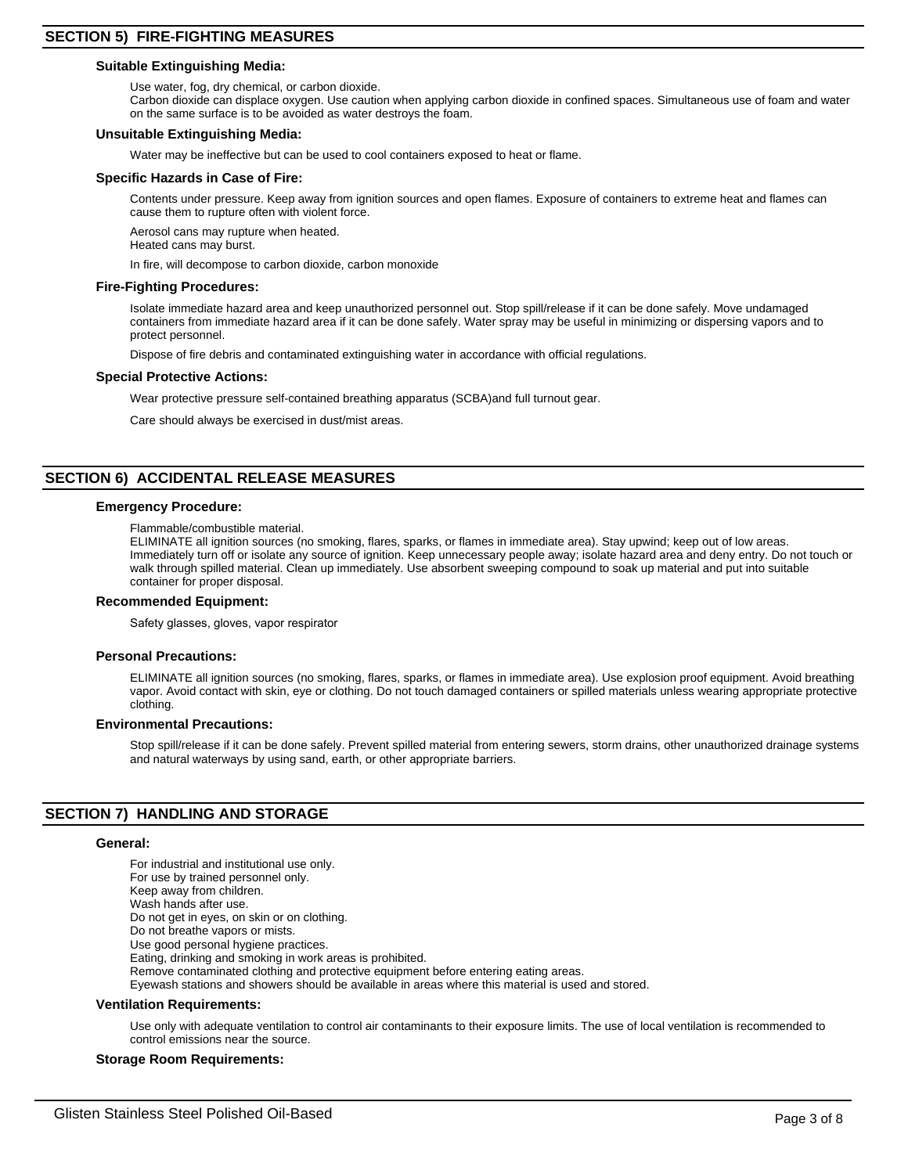## **Suitable Extinguishing Media:**

Use water, fog, dry chemical, or carbon dioxide.

Carbon dioxide can displace oxygen. Use caution when applying carbon dioxide in confined spaces. Simultaneous use of foam and water on the same surface is to be avoided as water destroys the foam.

## **Unsuitable Extinguishing Media:**

Water may be ineffective but can be used to cool containers exposed to heat or flame.

## **Specific Hazards in Case of Fire:**

Contents under pressure. Keep away from ignition sources and open flames. Exposure of containers to extreme heat and flames can cause them to rupture often with violent force.

Aerosol cans may rupture when heated.

Heated cans may burst.

In fire, will decompose to carbon dioxide, carbon monoxide

## **Fire-Fighting Procedures:**

Isolate immediate hazard area and keep unauthorized personnel out. Stop spill/release if it can be done safely. Move undamaged containers from immediate hazard area if it can be done safely. Water spray may be useful in minimizing or dispersing vapors and to protect personnel.

Dispose of fire debris and contaminated extinguishing water in accordance with official regulations.

## **Special Protective Actions:**

Wear protective pressure self-contained breathing apparatus (SCBA)and full turnout gear.

Care should always be exercised in dust/mist areas.

# **SECTION 6) ACCIDENTAL RELEASE MEASURES**

## **Emergency Procedure:**

Flammable/combustible material.

ELIMINATE all ignition sources (no smoking, flares, sparks, or flames in immediate area). Stay upwind; keep out of low areas. Immediately turn off or isolate any source of ignition. Keep unnecessary people away; isolate hazard area and deny entry. Do not touch or walk through spilled material. Clean up immediately. Use absorbent sweeping compound to soak up material and put into suitable container for proper disposal.

#### **Recommended Equipment:**

Safety glasses, gloves, vapor respirator

#### **Personal Precautions:**

ELIMINATE all ignition sources (no smoking, flares, sparks, or flames in immediate area). Use explosion proof equipment. Avoid breathing vapor. Avoid contact with skin, eye or clothing. Do not touch damaged containers or spilled materials unless wearing appropriate protective clothing.

#### **Environmental Precautions:**

Stop spill/release if it can be done safely. Prevent spilled material from entering sewers, storm drains, other unauthorized drainage systems and natural waterways by using sand, earth, or other appropriate barriers.

# **SECTION 7) HANDLING AND STORAGE**

#### **General:**

For industrial and institutional use only. For use by trained personnel only. Keep away from children. Wash hands after use. Do not get in eyes, on skin or on clothing. Do not breathe vapors or mists. Use good personal hygiene practices. Eating, drinking and smoking in work areas is prohibited. Remove contaminated clothing and protective equipment before entering eating areas. Eyewash stations and showers should be available in areas where this material is used and stored.

## **Ventilation Requirements:**

Use only with adequate ventilation to control air contaminants to their exposure limits. The use of local ventilation is recommended to control emissions near the source.

## **Storage Room Requirements:**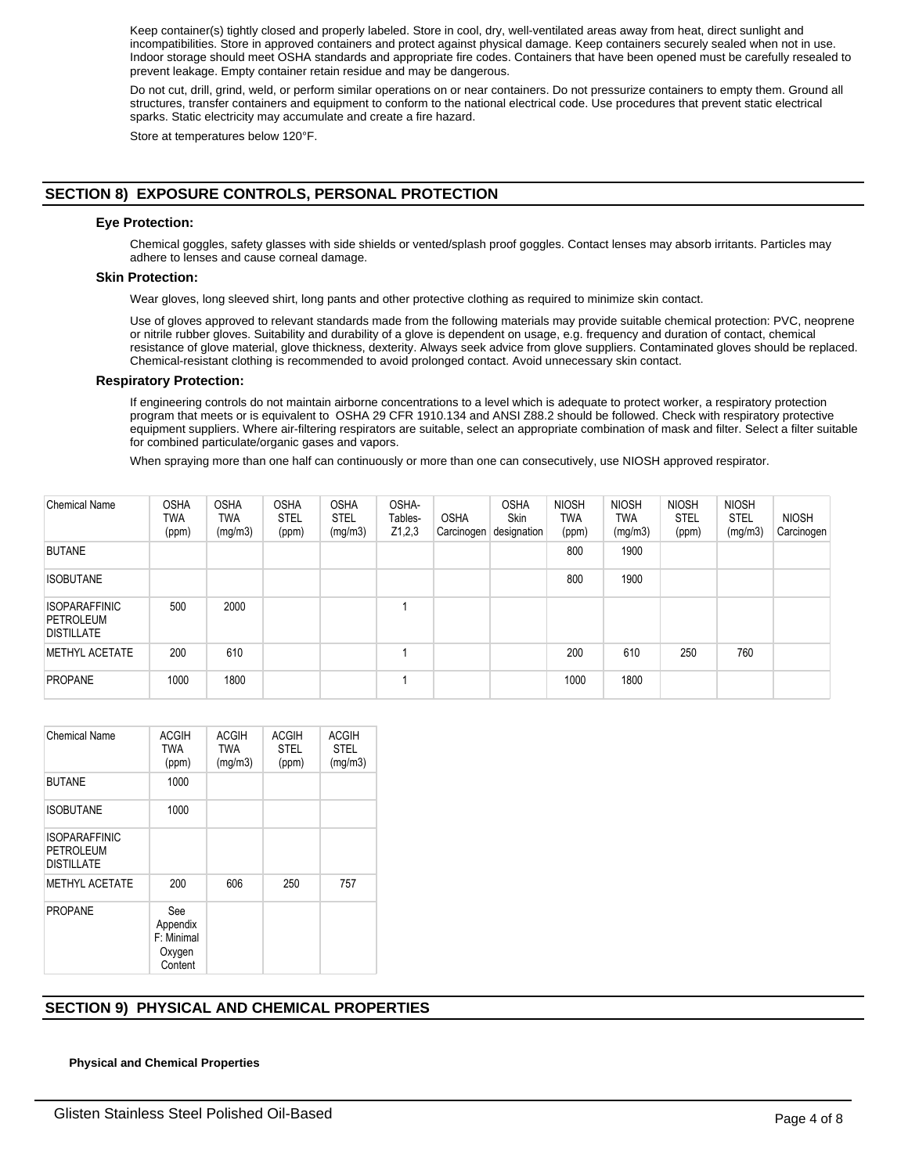Keep container(s) tightly closed and properly labeled. Store in cool, dry, well-ventilated areas away from heat, direct sunlight and incompatibilities. Store in approved containers and protect against physical damage. Keep containers securely sealed when not in use. Indoor storage should meet OSHA standards and appropriate fire codes. Containers that have been opened must be carefully resealed to prevent leakage. Empty container retain residue and may be dangerous.

Do not cut, drill, grind, weld, or perform similar operations on or near containers. Do not pressurize containers to empty them. Ground all structures, transfer containers and equipment to conform to the national electrical code. Use procedures that prevent static electrical sparks. Static electricity may accumulate and create a fire hazard.

Store at temperatures below 120°F.

# **SECTION 8) EXPOSURE CONTROLS, PERSONAL PROTECTION**

# **Eye Protection:**

Chemical goggles, safety glasses with side shields or vented/splash proof goggles. Contact lenses may absorb irritants. Particles may adhere to lenses and cause corneal damage.

# **Skin Protection:**

Wear gloves, long sleeved shirt, long pants and other protective clothing as required to minimize skin contact.

Use of gloves approved to relevant standards made from the following materials may provide suitable chemical protection: PVC, neoprene or nitrile rubber gloves. Suitability and durability of a glove is dependent on usage, e.g. frequency and duration of contact, chemical resistance of glove material, glove thickness, dexterity. Always seek advice from glove suppliers. Contaminated gloves should be replaced. Chemical-resistant clothing is recommended to avoid prolonged contact. Avoid unnecessary skin contact.

## **Respiratory Protection:**

If engineering controls do not maintain airborne concentrations to a level which is adequate to protect worker, a respiratory protection program that meets or is equivalent to OSHA 29 CFR 1910.134 and ANSI Z88.2 should be followed. Check with respiratory protective equipment suppliers. Where air-filtering respirators are suitable, select an appropriate combination of mask and filter. Select a filter suitable for combined particulate/organic gases and vapors.

When spraying more than one half can continuously or more than one can consecutively, use NIOSH approved respirator.

| <b>Chemical Name</b>                                   | <b>OSHA</b><br>TWA<br>(ppm) | <b>OSHA</b><br>TWA<br>(mg/m3) | <b>OSHA</b><br><b>STEL</b><br>(ppm) | <b>OSHA</b><br><b>STEL</b><br>(mg/m3) | OSHA-<br>Tables-<br>Z1,2,3 | <b>OSHA</b><br>Carcinogen | <b>OSHA</b><br><b>Skin</b><br>designation | <b>NIOSH</b><br>TWA<br>(ppm) | <b>NIOSH</b><br>TWA<br>(mg/m3) | <b>NIOSH</b><br><b>STEL</b><br>(ppm) | <b>NIOSH</b><br><b>STEL</b><br>(mg/m3) | <b>NIOSH</b><br>Carcinogen |
|--------------------------------------------------------|-----------------------------|-------------------------------|-------------------------------------|---------------------------------------|----------------------------|---------------------------|-------------------------------------------|------------------------------|--------------------------------|--------------------------------------|----------------------------------------|----------------------------|
| <b>BUTANE</b>                                          |                             |                               |                                     |                                       |                            |                           |                                           | 800                          | 1900                           |                                      |                                        |                            |
| <b>ISOBUTANE</b>                                       |                             |                               |                                     |                                       |                            |                           |                                           | 800                          | 1900                           |                                      |                                        |                            |
| <b>ISOPARAFFINIC</b><br>PETROLEUM<br><b>DISTILLATE</b> | 500                         | 2000                          |                                     |                                       |                            |                           |                                           |                              |                                |                                      |                                        |                            |
| <b>METHYL ACETATE</b>                                  | 200                         | 610                           |                                     |                                       |                            |                           |                                           | 200                          | 610                            | 250                                  | 760                                    |                            |
| <b>PROPANE</b>                                         | 1000                        | 1800                          |                                     |                                       |                            |                           |                                           | 1000                         | 1800                           |                                      |                                        |                            |

| <b>Chemical Name</b>                                   | ACGIH<br><b>TWA</b><br>(ppm)                       | <b>ACGIH</b><br><b>TWA</b><br>(mg/m3) | <b>ACGIH</b><br><b>STEL</b><br>(ppm) | <b>ACGIH</b><br><b>STEL</b><br>(mg/m3) |
|--------------------------------------------------------|----------------------------------------------------|---------------------------------------|--------------------------------------|----------------------------------------|
| <b>BUTANE</b>                                          | 1000                                               |                                       |                                      |                                        |
| <b>ISOBUTANE</b>                                       | 1000                                               |                                       |                                      |                                        |
| <b>ISOPARAFFINIC</b><br>PETROLEUM<br><b>DISTILLATE</b> |                                                    |                                       |                                      |                                        |
| METHYL ACETATE                                         | 200                                                | 606                                   | 250                                  | 757                                    |
| <b>PROPANE</b>                                         | See<br>Appendix<br>F: Minimal<br>Oxygen<br>Content |                                       |                                      |                                        |

# **SECTION 9) PHYSICAL AND CHEMICAL PROPERTIES**

## **Physical and Chemical Properties**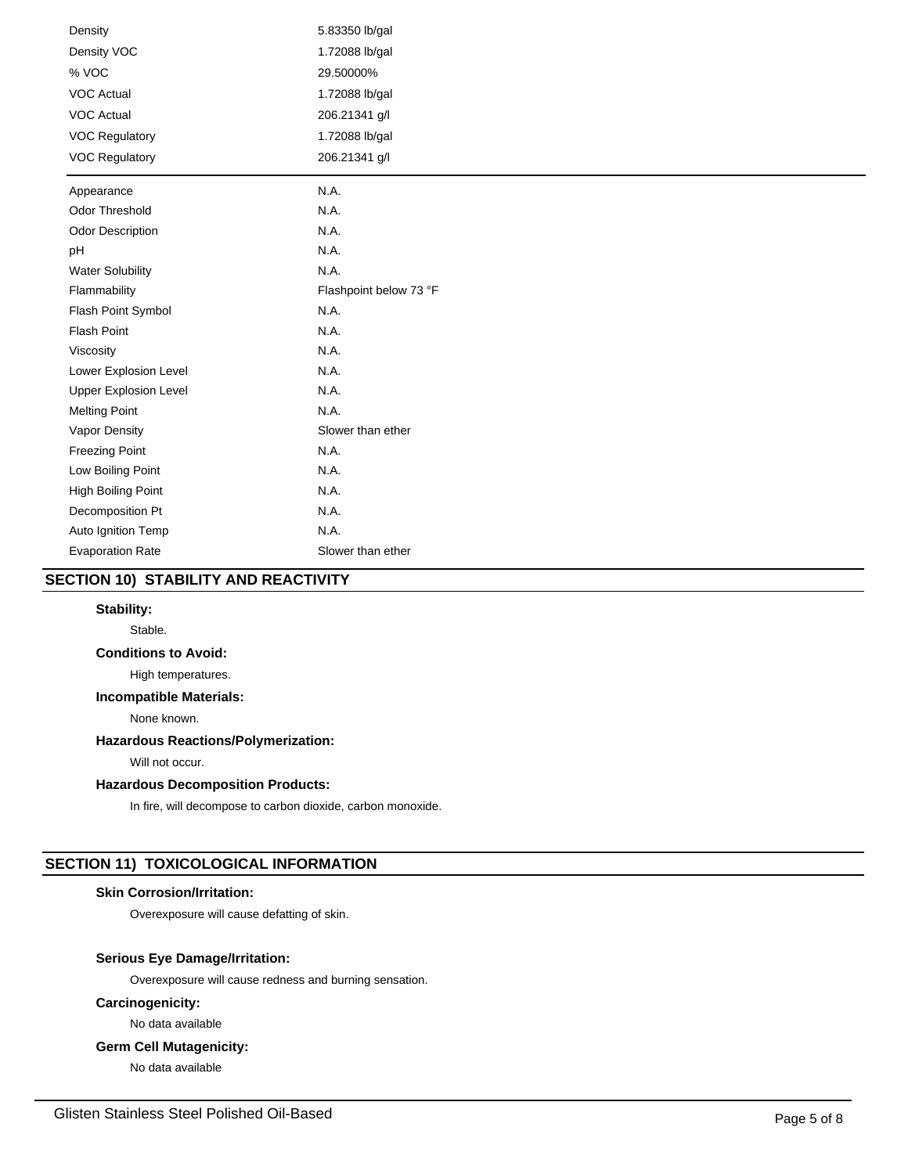| Density                      | 5.83350 lb/gal         |
|------------------------------|------------------------|
| Density VOC                  | 1.72088 lb/gal         |
| % VOC                        | 29.50000%              |
| <b>VOC Actual</b>            | 1.72088 lb/gal         |
| <b>VOC Actual</b>            | 206.21341 g/l          |
| <b>VOC Regulatory</b>        | 1.72088 lb/gal         |
| <b>VOC Regulatory</b>        | 206.21341 g/l          |
| Appearance                   | N.A.                   |
| Odor Threshold               | N.A.                   |
| <b>Odor Description</b>      | N.A.                   |
| pH                           | N.A.                   |
| <b>Water Solubility</b>      | N.A.                   |
| Flammability                 | Flashpoint below 73 °F |
| Flash Point Symbol           | N.A.                   |
| <b>Flash Point</b>           | N.A.                   |
| Viscosity                    | N.A.                   |
| Lower Explosion Level        | N.A.                   |
| <b>Upper Explosion Level</b> | N.A.                   |
| <b>Melting Point</b>         | N.A.                   |
| Vapor Density                | Slower than ether      |
| <b>Freezing Point</b>        | N.A.                   |
| Low Boiling Point            | N.A.                   |
| High Boiling Point           | N.A.                   |
| Decomposition Pt             | N.A.                   |
| Auto Ignition Temp           | N.A.                   |
| <b>Evaporation Rate</b>      | Slower than ether      |

# **SECTION 10) STABILITY AND REACTIVITY**

# **Stability:**

Stable.

# **Conditions to Avoid:**

High temperatures.

# **Incompatible Materials:**

None known.

# **Hazardous Reactions/Polymerization:**

Will not occur.

# **Hazardous Decomposition Products:**

In fire, will decompose to carbon dioxide, carbon monoxide.

# **SECTION 11) TOXICOLOGICAL INFORMATION**

# **Skin Corrosion/Irritation:**

Overexposure will cause defatting of skin.

## **Serious Eye Damage/Irritation:**

Overexposure will cause redness and burning sensation.

# **Carcinogenicity:**

No data available

# **Germ Cell Mutagenicity:**

No data available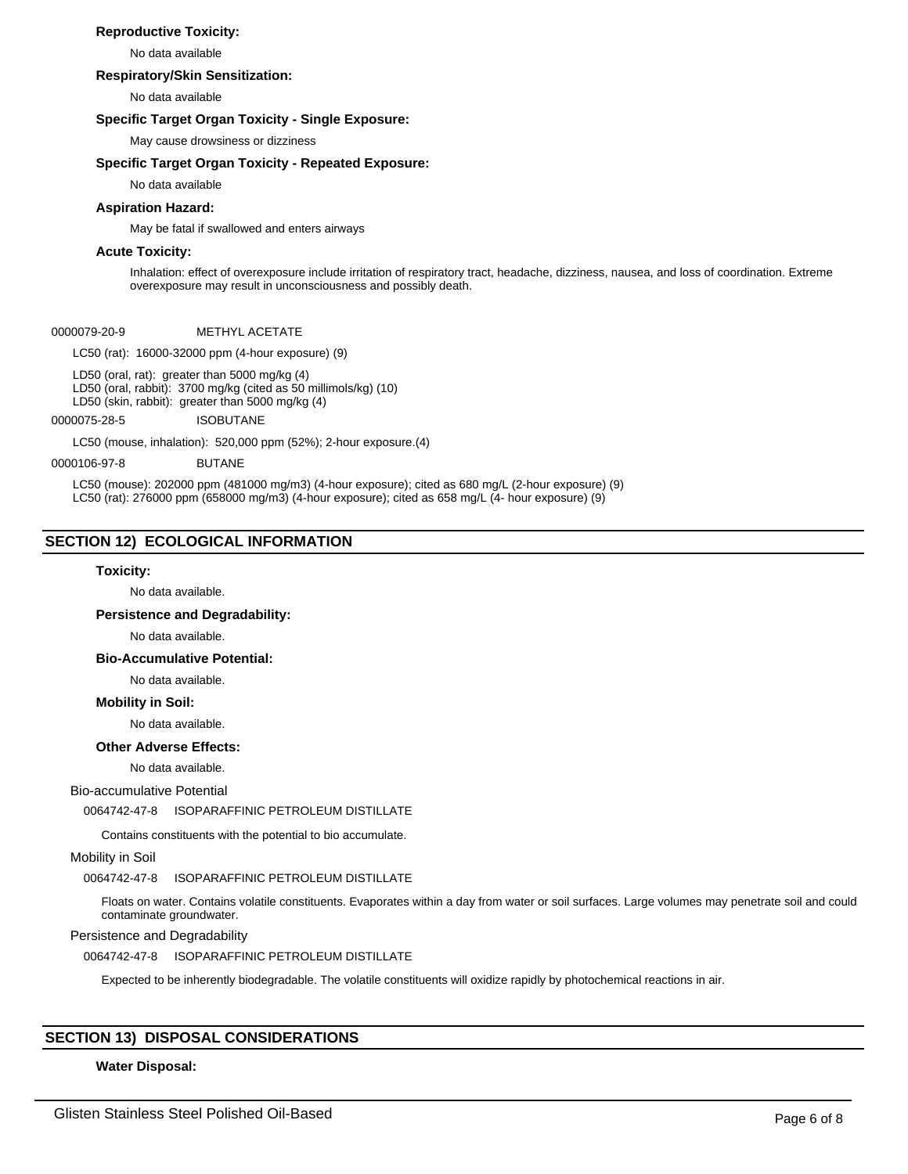## **Reproductive Toxicity:**

No data available

## **Respiratory/Skin Sensitization:**

No data available

## **Specific Target Organ Toxicity - Single Exposure:**

May cause drowsiness or dizziness

## **Specific Target Organ Toxicity - Repeated Exposure:**

No data available

## **Aspiration Hazard:**

May be fatal if swallowed and enters airways

## **Acute Toxicity:**

Inhalation: effect of overexposure include irritation of respiratory tract, headache, dizziness, nausea, and loss of coordination. Extreme overexposure may result in unconsciousness and possibly death.

#### 0000079-20-9 METHYL ACETATE

LC50 (rat): 16000-32000 ppm (4-hour exposure) (9)

LD50 (oral, rat): greater than 5000 mg/kg (4) LD50 (oral, rabbit): 3700 mg/kg (cited as 50 millimols/kg) (10) LD50 (skin, rabbit): greater than 5000 mg/kg (4)

0000075-28-5 ISOBUTANE

LC50 (mouse, inhalation): 520,000 ppm (52%); 2-hour exposure.(4)

## 0000106-97-8 BUTANE

LC50 (mouse): 202000 ppm (481000 mg/m3) (4-hour exposure); cited as 680 mg/L (2-hour exposure) (9) LC50 (rat): 276000 ppm (658000 mg/m3) (4-hour exposure); cited as 658 mg/L (4- hour exposure) (9)

# **SECTION 12) ECOLOGICAL INFORMATION**

## **Toxicity:**

No data available.

#### **Persistence and Degradability:**

No data available.

**Bio-Accumulative Potential:**

# No data available.

## **Mobility in Soil:**

No data available.

## **Other Adverse Effects:**

No data available.

## Bio-accumulative Potential

0064742-47-8 ISOPARAFFINIC PETROLEUM DISTILLATE

Contains constituents with the potential to bio accumulate.

## Mobility in Soil

## 0064742-47-8 ISOPARAFFINIC PETROLEUM DISTILLATE

Floats on water. Contains volatile constituents. Evaporates within a day from water or soil surfaces. Large volumes may penetrate soil and could contaminate groundwater.

## Persistence and Degradability

0064742-47-8 ISOPARAFFINIC PETROLEUM DISTILLATE

Expected to be inherently biodegradable. The volatile constituents will oxidize rapidly by photochemical reactions in air.

# **SECTION 13) DISPOSAL CONSIDERATIONS**

## **Water Disposal:**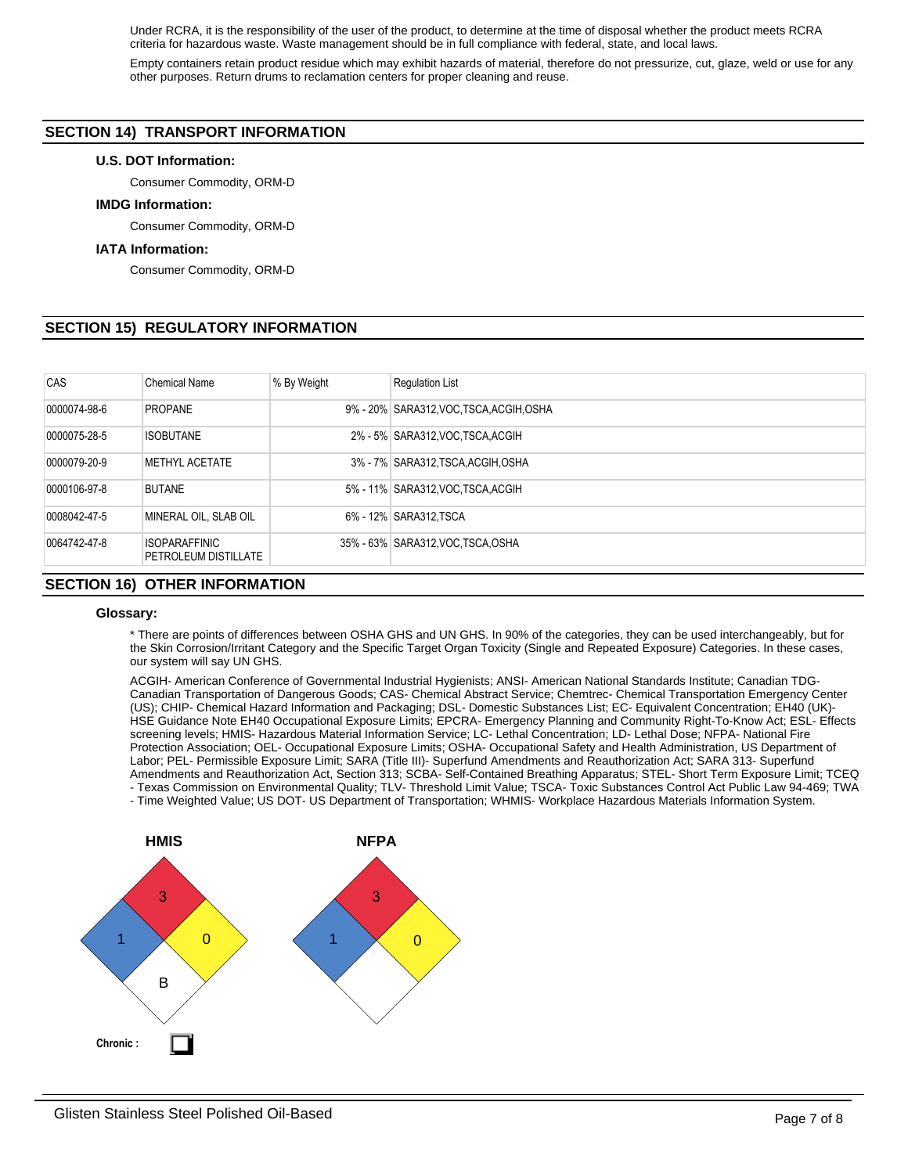Under RCRA, it is the responsibility of the user of the product, to determine at the time of disposal whether the product meets RCRA criteria for hazardous waste. Waste management should be in full compliance with federal, state, and local laws.

Empty containers retain product residue which may exhibit hazards of material, therefore do not pressurize, cut, glaze, weld or use for any other purposes. Return drums to reclamation centers for proper cleaning and reuse.

# **SECTION 14) TRANSPORT INFORMATION**

## **U.S. DOT Information:**

Consumer Commodity, ORM-D

## **IMDG Information:**

Consumer Commodity, ORM-D

## **IATA Information:**

Consumer Commodity, ORM-D

# **SECTION 15) REGULATORY INFORMATION**

| CAS              | <b>Chemical Name</b>                                | % By Weight | <b>Requlation List</b>                  |
|------------------|-----------------------------------------------------|-------------|-----------------------------------------|
| 0000074-98-6     | <b>PROPANE</b>                                      |             | 9% - 20% SARA312, VOC TSCA, ACGIH, OSHA |
| 0000075-28-5     | <b>ISOBUTANE</b>                                    |             | 2% - 5% SARA312, VOC, TSCA, ACGIH       |
| 0000079-20-9     | <b>METHYL ACETATE</b>                               |             | 3% - 7% SARA312, TSCA, ACGIH, OSHA      |
| 0000106-97-8     | <b>BUTANE</b>                                       |             | 5% - 11% SARA312, VOC TSCA, ACGIH       |
| 0008042-47-5     | MINERAL OIL. SLAB OIL                               |             | 6% - 12% SARA312.TSCA                   |
| 0064742-47-8     | <b>ISOPARAFFINIC</b><br><b>PETROLEUM DISTILLATE</b> |             | 35% - 63% SARA312, VOC TSCA, OSHA       |
| . = . = <i>.</i> | ____ _________                                      |             |                                         |

# **SECTION 16) OTHER INFORMATION**

## **Glossary:**

\* There are points of differences between OSHA GHS and UN GHS. In 90% of the categories, they can be used interchangeably, but for the Skin Corrosion/Irritant Category and the Specific Target Organ Toxicity (Single and Repeated Exposure) Categories. In these cases, our system will say UN GHS.

ACGIH- American Conference of Governmental Industrial Hygienists; ANSI- American National Standards Institute; Canadian TDG-Canadian Transportation of Dangerous Goods; CAS- Chemical Abstract Service; Chemtrec- Chemical Transportation Emergency Center (US); CHIP- Chemical Hazard Information and Packaging; DSL- Domestic Substances List; EC- Equivalent Concentration; EH40 (UK)- HSE Guidance Note EH40 Occupational Exposure Limits; EPCRA- Emergency Planning and Community Right-To-Know Act; ESL- Effects screening levels; HMIS- Hazardous Material Information Service; LC- Lethal Concentration; LD- Lethal Dose; NFPA- National Fire Protection Association; OEL- Occupational Exposure Limits; OSHA- Occupational Safety and Health Administration, US Department of Labor; PEL- Permissible Exposure Limit; SARA (Title III)- Superfund Amendments and Reauthorization Act; SARA 313- Superfund Amendments and Reauthorization Act, Section 313; SCBA- Self-Contained Breathing Apparatus; STEL- Short Term Exposure Limit; TCEQ - Texas Commission on Environmental Quality; TLV- Threshold Limit Value; TSCA- Toxic Substances Control Act Public Law 94-469; TWA - Time Weighted Value; US DOT- US Department of Transportation; WHMIS- Workplace Hazardous Materials Information System.

3 1 B 0 **HMIS NFPA** 3 1  $\times$  0 **Chronic :**